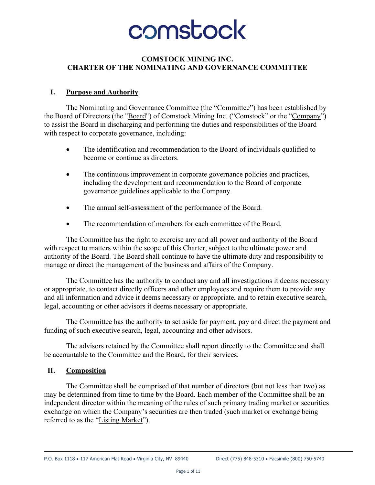# comstock

#### **COMSTOCK MINING INC. CHARTER OF THE NOMINATING AND GOVERNANCE COMMITTEE**

#### **I. Purpose and Authority**

The Nominating and Governance Committee (the "Committee") has been established by the Board of Directors (the "Board") of Comstock Mining Inc. ("Comstock" or the "Company") to assist the Board in discharging and performing the duties and responsibilities of the Board with respect to corporate governance, including:

- The identification and recommendation to the Board of individuals qualified to become or continue as directors.
- The continuous improvement in corporate governance policies and practices, including the development and recommendation to the Board of corporate governance guidelines applicable to the Company.
- The annual self-assessment of the performance of the Board.
- The recommendation of members for each committee of the Board.

The Committee has the right to exercise any and all power and authority of the Board with respect to matters within the scope of this Charter, subject to the ultimate power and authority of the Board. The Board shall continue to have the ultimate duty and responsibility to manage or direct the management of the business and affairs of the Company.

The Committee has the authority to conduct any and all investigations it deems necessary or appropriate, to contact directly officers and other employees and require them to provide any and all information and advice it deems necessary or appropriate, and to retain executive search, legal, accounting or other advisors it deems necessary or appropriate.

The Committee has the authority to set aside for payment, pay and direct the payment and funding of such executive search, legal, accounting and other advisors.

The advisors retained by the Committee shall report directly to the Committee and shall be accountable to the Committee and the Board, for their services.

#### **II. Composition**

The Committee shall be comprised of that number of directors (but not less than two) as may be determined from time to time by the Board. Each member of the Committee shall be an independent director within the meaning of the rules of such primary trading market or securities exchange on which the Company's securities are then traded (such market or exchange being referred to as the "Listing Market").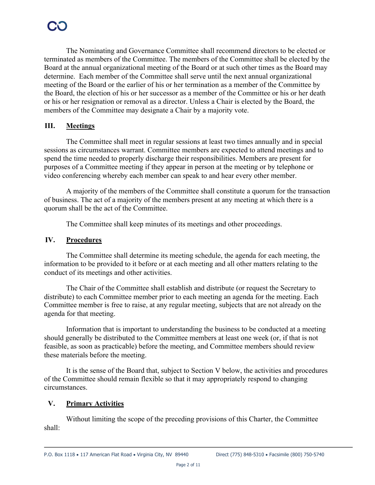The Nominating and Governance Committee shall recommend directors to be elected or terminated as members of the Committee. The members of the Committee shall be elected by the Board at the annual organizational meeting of the Board or at such other times as the Board may determine. Each member of the Committee shall serve until the next annual organizational meeting of the Board or the earlier of his or her termination as a member of the Committee by the Board, the election of his or her successor as a member of the Committee or his or her death or his or her resignation or removal as a director. Unless a Chair is elected by the Board, the members of the Committee may designate a Chair by a majority vote.

#### **III. Meetings**

The Committee shall meet in regular sessions at least two times annually and in special sessions as circumstances warrant. Committee members are expected to attend meetings and to spend the time needed to properly discharge their responsibilities. Members are present for purposes of a Committee meeting if they appear in person at the meeting or by telephone or video conferencing whereby each member can speak to and hear every other member.

A majority of the members of the Committee shall constitute a quorum for the transaction of business. The act of a majority of the members present at any meeting at which there is a quorum shall be the act of the Committee.

The Committee shall keep minutes of its meetings and other proceedings.

#### **IV. Procedures**

The Committee shall determine its meeting schedule, the agenda for each meeting, the information to be provided to it before or at each meeting and all other matters relating to the conduct of its meetings and other activities.

The Chair of the Committee shall establish and distribute (or request the Secretary to distribute) to each Committee member prior to each meeting an agenda for the meeting. Each Committee member is free to raise, at any regular meeting, subjects that are not already on the agenda for that meeting.

Information that is important to understanding the business to be conducted at a meeting should generally be distributed to the Committee members at least one week (or, if that is not feasible, as soon as practicable) before the meeting, and Committee members should review these materials before the meeting.

It is the sense of the Board that, subject to Section V below, the activities and procedures of the Committee should remain flexible so that it may appropriately respond to changing circumstances.

#### **V. Primary Activities**

Without limiting the scope of the preceding provisions of this Charter, the Committee shall: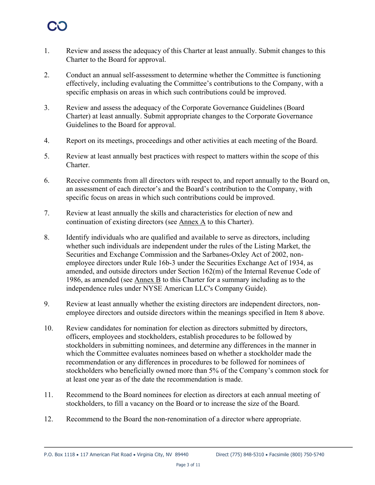- 1. Review and assess the adequacy of this Charter at least annually. Submit changes to this Charter to the Board for approval.
- 2. Conduct an annual self-assessment to determine whether the Committee is functioning effectively, including evaluating the Committee's contributions to the Company, with a specific emphasis on areas in which such contributions could be improved.
- 3. Review and assess the adequacy of the Corporate Governance Guidelines (Board Charter) at least annually. Submit appropriate changes to the Corporate Governance Guidelines to the Board for approval.
- 4. Report on its meetings, proceedings and other activities at each meeting of the Board.
- 5. Review at least annually best practices with respect to matters within the scope of this Charter.
- 6. Receive comments from all directors with respect to, and report annually to the Board on, an assessment of each director's and the Board's contribution to the Company, with specific focus on areas in which such contributions could be improved.
- 7. Review at least annually the skills and characteristics for election of new and continuation of existing directors (see Annex A to this Charter).
- 8. Identify individuals who are qualified and available to serve as directors, including whether such individuals are independent under the rules of the Listing Market, the Securities and Exchange Commission and the Sarbanes-Oxley Act of 2002, nonemployee directors under Rule 16b-3 under the Securities Exchange Act of 1934, as amended, and outside directors under Section 162(m) of the Internal Revenue Code of 1986, as amended (see Annex B to this Charter for a summary including as to the independence rules under NYSE American LLC's Company Guide).
- 9. Review at least annually whether the existing directors are independent directors, nonemployee directors and outside directors within the meanings specified in Item 8 above.
- 10. Review candidates for nomination for election as directors submitted by directors, officers, employees and stockholders, establish procedures to be followed by stockholders in submitting nominees, and determine any differences in the manner in which the Committee evaluates nominees based on whether a stockholder made the recommendation or any differences in procedures to be followed for nominees of stockholders who beneficially owned more than 5% of the Company's common stock for at least one year as of the date the recommendation is made.
- 11. Recommend to the Board nominees for election as directors at each annual meeting of stockholders, to fill a vacancy on the Board or to increase the size of the Board.
- 12. Recommend to the Board the non-renomination of a director where appropriate.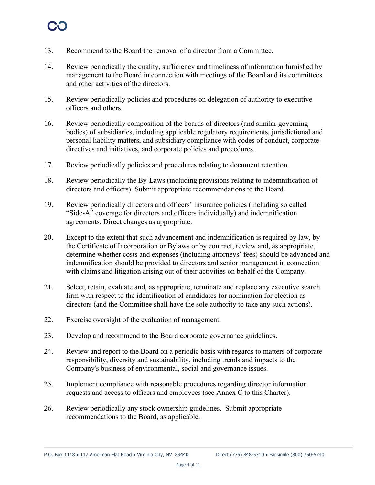- 13. Recommend to the Board the removal of a director from a Committee.
- 14. Review periodically the quality, sufficiency and timeliness of information furnished by management to the Board in connection with meetings of the Board and its committees and other activities of the directors.
- 15. Review periodically policies and procedures on delegation of authority to executive officers and others.
- 16. Review periodically composition of the boards of directors (and similar governing bodies) of subsidiaries, including applicable regulatory requirements, jurisdictional and personal liability matters, and subsidiary compliance with codes of conduct, corporate directives and initiatives, and corporate policies and procedures.
- 17. Review periodically policies and procedures relating to document retention.
- 18. Review periodically the By-Laws (including provisions relating to indemnification of directors and officers). Submit appropriate recommendations to the Board.
- 19. Review periodically directors and officers' insurance policies (including so called "Side-A" coverage for directors and officers individually) and indemnification agreements. Direct changes as appropriate.
- 20. Except to the extent that such advancement and indemnification is required by law, by the Certificate of Incorporation or Bylaws or by contract, review and, as appropriate, determine whether costs and expenses (including attorneys' fees) should be advanced and indemnification should be provided to directors and senior management in connection with claims and litigation arising out of their activities on behalf of the Company.
- 21. Select, retain, evaluate and, as appropriate, terminate and replace any executive search firm with respect to the identification of candidates for nomination for election as directors (and the Committee shall have the sole authority to take any such actions).
- 22. Exercise oversight of the evaluation of management.
- 23. Develop and recommend to the Board corporate governance guidelines.
- 24. Review and report to the Board on a periodic basis with regards to matters of corporate responsibility, diversity and sustainability, including trends and impacts to the Company's business of environmental, social and governance issues.
- 25. Implement compliance with reasonable procedures regarding director information requests and access to officers and employees (see Annex C to this Charter).
- 26. Review periodically any stock ownership guidelines. Submit appropriate recommendations to the Board, as applicable.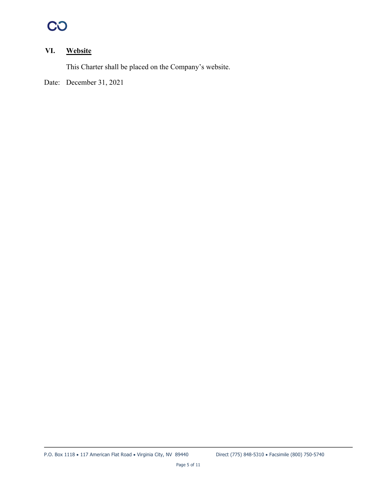## CO

### **VI. Website**

This Charter shall be placed on the Company's website.

Date: December 31, 2021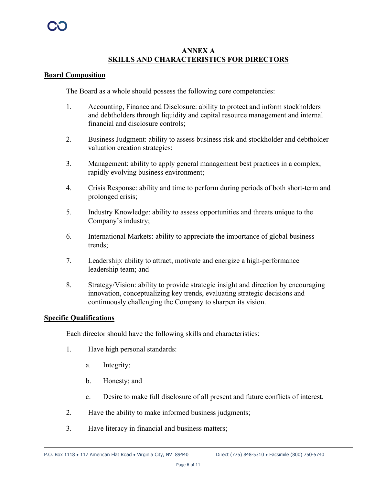#### **ANNEX A SKILLS AND CHARACTERISTICS FOR DIRECTORS**

#### **Board Composition**

The Board as a whole should possess the following core competencies:

- 1. Accounting, Finance and Disclosure: ability to protect and inform stockholders and debtholders through liquidity and capital resource management and internal financial and disclosure controls;
- 2. Business Judgment: ability to assess business risk and stockholder and debtholder valuation creation strategies;
- 3. Management: ability to apply general management best practices in a complex, rapidly evolving business environment;
- 4. Crisis Response: ability and time to perform during periods of both short-term and prolonged crisis;
- 5. Industry Knowledge: ability to assess opportunities and threats unique to the Company's industry;
- 6. International Markets: ability to appreciate the importance of global business trends;
- 7. Leadership: ability to attract, motivate and energize a high-performance leadership team; and
- 8. Strategy/Vision: ability to provide strategic insight and direction by encouraging innovation, conceptualizing key trends, evaluating strategic decisions and continuously challenging the Company to sharpen its vision.

#### **Specific Qualifications**

Each director should have the following skills and characteristics:

- 1. Have high personal standards:
	- a. Integrity;
	- b. Honesty; and
	- c. Desire to make full disclosure of all present and future conflicts of interest.
- 2. Have the ability to make informed business judgments;
- 3. Have literacy in financial and business matters;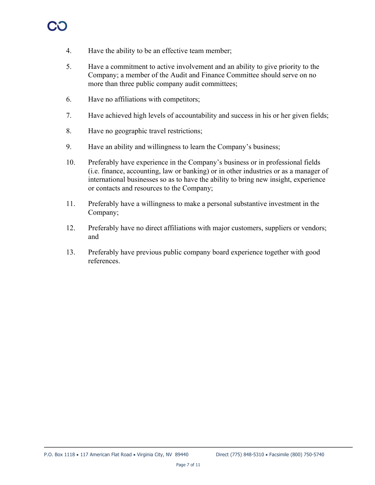- 4. Have the ability to be an effective team member;
- 5. Have a commitment to active involvement and an ability to give priority to the Company; a member of the Audit and Finance Committee should serve on no more than three public company audit committees;
- 6. Have no affiliations with competitors;
- 7. Have achieved high levels of accountability and success in his or her given fields;
- 8. Have no geographic travel restrictions;
- 9. Have an ability and willingness to learn the Company's business;
- 10. Preferably have experience in the Company's business or in professional fields (i.e. finance, accounting, law or banking) or in other industries or as a manager of international businesses so as to have the ability to bring new insight, experience or contacts and resources to the Company;
- 11. Preferably have a willingness to make a personal substantive investment in the Company;
- 12. Preferably have no direct affiliations with major customers, suppliers or vendors; and
- 13. Preferably have previous public company board experience together with good references.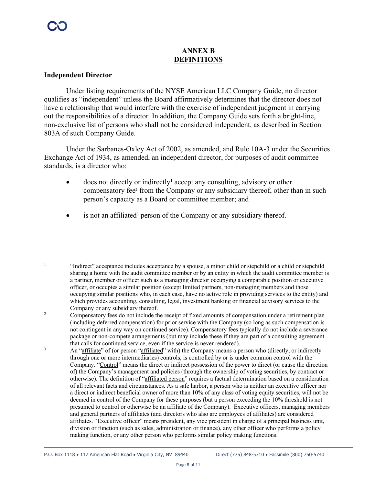### **ANNEX B DEFINITIONS**

#### **Independent Director**

Under listing requirements of the NYSE American LLC Company Guide, no director qualifies as "independent" unless the Board affirmatively determines that the director does not have a relationship that would interfere with the exercise of independent judgment in carrying out the responsibilities of a director. In addition, the Company Guide sets forth a bright-line, non-exclusive list of persons who shall not be considered independent, as described in Section 803A of such Company Guide.

Under the Sarbanes-Oxley Act of 2002, as amended, and Rule 10A-3 under the Securities Exchange Act of 1934, as amended, an independent director, for purposes of audit committee standards, is a director who:

- $\bullet$  does not directly or indirectly<sup>1</sup> accept any consulting, advisory or other compensatory fee<sup>2</sup> from the Company or any subsidiary thereof, other than in such person's capacity as a Board or committee member; and
- is not an affiliated<sup>3</sup> person of the Company or any subsidiary thereof.

<sup>&</sup>quot;Indirect" acceptance includes acceptance by a spouse, a minor child or stepchild or a child or stepchild sharing a home with the audit committee member or by an entity in which the audit committee member is a partner, member or officer such as a managing director occupying a comparable position or executive officer, or occupies a similar position (except limited partners, non-managing members and those occupying similar positions who, in each case, have no active role in providing services to the entity) and which provides accounting, consulting, legal, investment banking or financial advisory services to the Company or any subsidiary thereof.

<sup>&</sup>lt;sup>2</sup> Compensatory fees do not include the receipt of fixed amounts of compensation under a retirement plan (including deferred compensation) for prior service with the Company (so long as such compensation is not contingent in any way on continued service). Compensatory fees typically do not include a severance package or non-compete arrangements (but may include these if they are part of a consulting agreement that calls for continued service, even if the service is never rendered).

<sup>&</sup>lt;sup>3</sup> An "affiliate" of (or person "affiliated" with) the Company means a person who (directly, or indirectly through one or more intermediaries) controls, is controlled by or is under common control with the Company. "Control" means the direct or indirect possession of the power to direct (or cause the direction of) the Company's management and policies (through the ownership of voting securities, by contract or otherwise). The definition of "affiliated person" requires a factual determination based on a consideration of all relevant facts and circumstances. As a safe harbor, a person who is neither an executive officer nor a direct or indirect beneficial owner of more than 10% of any class of voting equity securities, will not be deemed in control of the Company for these purposes (but a person exceeding the 10% threshold is not presumed to control or otherwise be an affiliate of the Company). Executive officers, managing members and general partners of affiliates (and directors who also are employees of affiliates) are considered affiliates. "Executive officer" means president, any vice president in charge of a principal business unit, division or function (such as sales, administration or finance), any other officer who performs a policy making function, or any other person who performs similar policy making functions.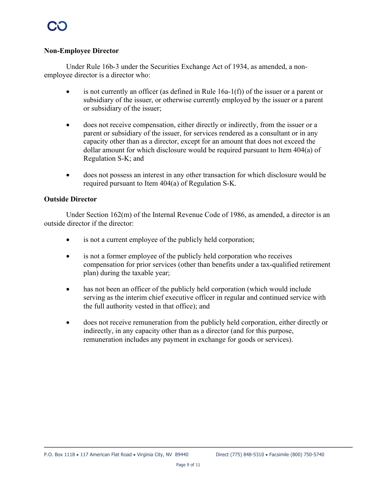#### **Non-Employee Director**

Under Rule 16b-3 under the Securities Exchange Act of 1934, as amended, a nonemployee director is a director who:

- $\bullet$  is not currently an officer (as defined in Rule 16a-1(f)) of the issuer or a parent or subsidiary of the issuer, or otherwise currently employed by the issuer or a parent or subsidiary of the issuer;
- does not receive compensation, either directly or indirectly, from the issuer or a parent or subsidiary of the issuer, for services rendered as a consultant or in any capacity other than as a director, except for an amount that does not exceed the dollar amount for which disclosure would be required pursuant to Item 404(a) of Regulation S-K; and
- does not possess an interest in any other transaction for which disclosure would be required pursuant to Item 404(a) of Regulation S-K.

#### **Outside Director**

Under Section  $162(m)$  of the Internal Revenue Code of 1986, as amended, a director is an outside director if the director:

- is not a current employee of the publicly held corporation;
- is not a former employee of the publicly held corporation who receives compensation for prior services (other than benefits under a tax-qualified retirement plan) during the taxable year;
- has not been an officer of the publicly held corporation (which would include serving as the interim chief executive officer in regular and continued service with the full authority vested in that office); and
- does not receive remuneration from the publicly held corporation, either directly or indirectly, in any capacity other than as a director (and for this purpose, remuneration includes any payment in exchange for goods or services).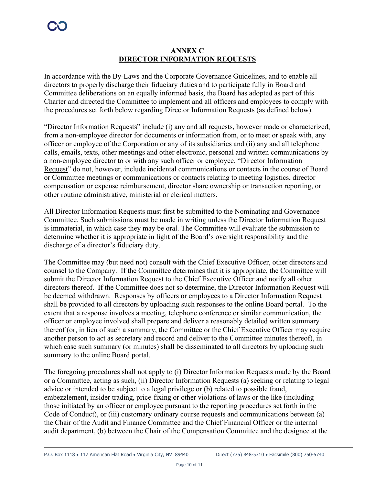#### **ANNEX C DIRECTOR INFORMATION REQUESTS**

In accordance with the By-Laws and the Corporate Governance Guidelines, and to enable all directors to properly discharge their fiduciary duties and to participate fully in Board and Committee deliberations on an equally informed basis, the Board has adopted as part of this Charter and directed the Committee to implement and all officers and employees to comply with the procedures set forth below regarding Director Information Requests (as defined below).

"Director Information Requests" include (i) any and all requests, however made or characterized, from a non-employee director for documents or information from, or to meet or speak with, any officer or employee of the Corporation or any of its subsidiaries and (ii) any and all telephone calls, emails, texts, other meetings and other electronic, personal and written communications by a non-employee director to or with any such officer or employee. "Director Information Request" do not, however, include incidental communications or contacts in the course of Board or Committee meetings or communications or contacts relating to meeting logistics, director compensation or expense reimbursement, director share ownership or transaction reporting, or other routine administrative, ministerial or clerical matters.

All Director Information Requests must first be submitted to the Nominating and Governance Committee. Such submissions must be made in writing unless the Director Information Request is immaterial, in which case they may be oral. The Committee will evaluate the submission to determine whether it is appropriate in light of the Board's oversight responsibility and the discharge of a director's fiduciary duty.

The Committee may (but need not) consult with the Chief Executive Officer, other directors and counsel to the Company. If the Committee determines that it is appropriate, the Committee will submit the Director Information Request to the Chief Executive Officer and notify all other directors thereof. If the Committee does not so determine, the Director Information Request will be deemed withdrawn. Responses by officers or employees to a Director Information Request shall be provided to all directors by uploading such responses to the online Board portal. To the extent that a response involves a meeting, telephone conference or similar communication, the officer or employee involved shall prepare and deliver a reasonably detailed written summary thereof (or, in lieu of such a summary, the Committee or the Chief Executive Officer may require another person to act as secretary and record and deliver to the Committee minutes thereof), in which case such summary (or minutes) shall be disseminated to all directors by uploading such summary to the online Board portal.

The foregoing procedures shall not apply to (i) Director Information Requests made by the Board or a Committee, acting as such, (ii) Director Information Requests (a) seeking or relating to legal advice or intended to be subject to a legal privilege or (b) related to possible fraud, embezzlement, insider trading, price-fixing or other violations of laws or the like (including those initiated by an officer or employee pursuant to the reporting procedures set forth in the Code of Conduct), or (iii) customary ordinary course requests and communications between (a) the Chair of the Audit and Finance Committee and the Chief Financial Officer or the internal audit department, (b) between the Chair of the Compensation Committee and the designee at the